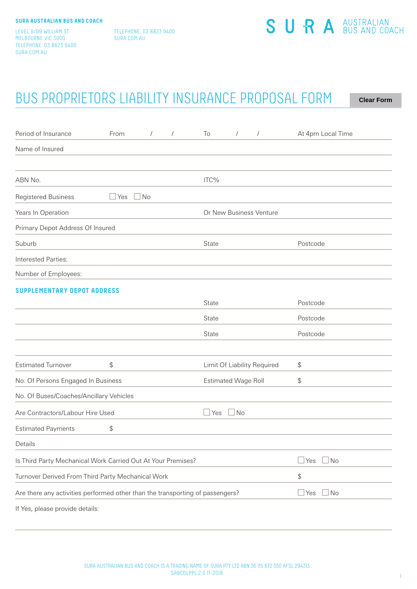LEVEL 9/99 WILLIAM ST MELBOURNE VIC 3000 TELEPHONE. 03 8823 9400 SURA.COM.AU

TELEPHONE. 03 8823 9400 SURA.COM.AU

# SURA<sup>AUSTRALIAN</sup>

## BUS PROPRIETORS LIABILITY INSURANCE PROPOSAL FORM

**Clear Form**

| Period of Insurance                                                           | From                 | $\sqrt{2}$ | $\sqrt{2}$ | To        | $\sqrt{2}$                 | $\sqrt{2}$                  | At 4pm Local Time |  |
|-------------------------------------------------------------------------------|----------------------|------------|------------|-----------|----------------------------|-----------------------------|-------------------|--|
| Name of Insured                                                               |                      |            |            |           |                            |                             |                   |  |
|                                                                               |                      |            |            |           |                            |                             |                   |  |
| ABN No.                                                                       |                      |            |            | ITC%      |                            |                             |                   |  |
| <b>Registered Business</b>                                                    | $\Box$ Yes $\Box$ No |            |            |           |                            |                             |                   |  |
| Years In Operation                                                            |                      |            |            |           | Or New Business Venture    |                             |                   |  |
| Primary Depot Address Of Insured                                              |                      |            |            |           |                            |                             |                   |  |
| Suburb                                                                        |                      |            |            | State     |                            |                             | Postcode          |  |
| Interested Parties:                                                           |                      |            |            |           |                            |                             |                   |  |
| Number of Employees:                                                          |                      |            |            |           |                            |                             |                   |  |
| <b>SUPPLEMENTARY DEPOT ADDRESS</b>                                            |                      |            |            |           |                            |                             |                   |  |
|                                                                               |                      |            |            | State     |                            |                             | Postcode          |  |
|                                                                               |                      |            |            | State     |                            |                             | Postcode          |  |
|                                                                               |                      |            |            | State     |                            |                             | Postcode          |  |
|                                                                               |                      |            |            |           |                            |                             |                   |  |
| <b>Estimated Turnover</b>                                                     | \$                   |            |            |           |                            | Limit Of Liability Required | \$                |  |
| No. Of Persons Engaged In Business                                            |                      |            |            |           | <b>Estimated Wage Roll</b> |                             | \$                |  |
| No. Of Buses/Coaches/Ancillary Vehicles                                       |                      |            |            |           |                            |                             |                   |  |
| Are Contractors/Labour Hire Used                                              |                      |            | $\Box$ Yes | $\Box$ No |                            |                             |                   |  |
| <b>Estimated Payments</b>                                                     | \$                   |            |            |           |                            |                             |                   |  |
| Details                                                                       |                      |            |            |           |                            |                             |                   |  |
| Is Third Party Mechanical Work Carried Out At Your Premises?                  |                      |            |            |           |                            | $\Box$ No<br>Yes            |                   |  |
| Turnover Derived From Third Party Mechanical Work                             |                      |            |            |           |                            | \$                          |                   |  |
| Are there any activities performed other than the transporting of passengers? |                      |            |            |           |                            | $\Box$ No<br>Yes            |                   |  |
| If Yes, please provide details:                                               |                      |            |            |           |                            |                             |                   |  |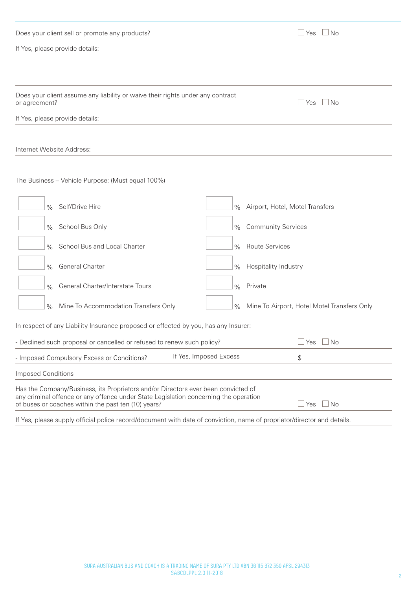| Does your client sell or promote any products?                                                                                                                                                                                   | $\Box$ Yes $\Box$ No                                         |
|----------------------------------------------------------------------------------------------------------------------------------------------------------------------------------------------------------------------------------|--------------------------------------------------------------|
| If Yes, please provide details:                                                                                                                                                                                                  |                                                              |
|                                                                                                                                                                                                                                  |                                                              |
| Does your client assume any liability or waive their rights under any contract<br>or agreement?                                                                                                                                  | $\Box$ Yes $\Box$ No                                         |
| If Yes, please provide details:                                                                                                                                                                                                  |                                                              |
| Internet Website Address:                                                                                                                                                                                                        |                                                              |
| The Business - Vehicle Purpose: (Must equal 100%)                                                                                                                                                                                |                                                              |
| Self/Drive Hire<br>$\frac{0}{0}$                                                                                                                                                                                                 | Airport, Hotel, Motel Transfers<br>$\frac{0}{0}$             |
| School Bus Only<br>$\frac{0}{0}$                                                                                                                                                                                                 | <b>Community Services</b><br>$\%$                            |
| School Bus and Local Charter<br>$\frac{0}{0}$                                                                                                                                                                                    | <b>Route Services</b><br>$\frac{0}{0}$                       |
| <b>General Charter</b><br>$\frac{0}{0}$                                                                                                                                                                                          | Hospitality Industry<br>$\%$                                 |
| General Charter/Interstate Tours<br>$\frac{0}{0}$                                                                                                                                                                                | Private<br>$\frac{0}{0}$                                     |
| Mine To Accommodation Transfers Only<br>$\frac{0}{0}$                                                                                                                                                                            | Mine To Airport, Hotel Motel Transfers Only<br>$\frac{0}{0}$ |
| In respect of any Liability Insurance proposed or effected by you, has any Insurer:                                                                                                                                              |                                                              |
| - Declined such proposal or cancelled or refused to renew such policy?                                                                                                                                                           | Yes<br>⊿ No                                                  |
| - Imposed Compulsory Excess or Conditions?                                                                                                                                                                                       | If Yes, Imposed Excess<br>\$                                 |
| <b>Imposed Conditions</b>                                                                                                                                                                                                        |                                                              |
| Has the Company/Business, its Proprietors and/or Directors ever been convicted of<br>any criminal offence or any offence under State Legislation concerning the operation<br>of buses or coaches within the past ten (10) years? | $\Box$ Yes<br>$\Box$ No                                      |
| If Yes, please supply official police record/document with date of conviction, name of proprietor/director and details.                                                                                                          |                                                              |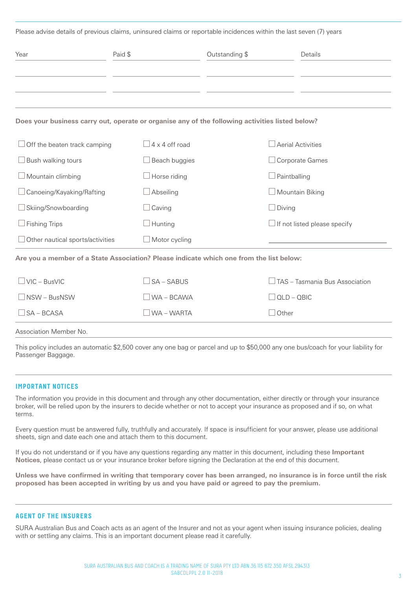| Please advise details of previous claims, uninsured claims or reportable incidences within the last seven (7) years |                          |                     |                                     |  |
|---------------------------------------------------------------------------------------------------------------------|--------------------------|---------------------|-------------------------------------|--|
| Year                                                                                                                | Paid \$                  | Outstanding \$      | Details                             |  |
|                                                                                                                     |                          |                     |                                     |  |
| Does your business carry out, operate or organise any of the following activities listed below?                     |                          |                     |                                     |  |
| $\Box$ Off the beaten track camping                                                                                 | $\exists$ 4 x 4 off road |                     | <b>Aerial Activities</b>            |  |
| Bush walking tours<br>ப                                                                                             | $\Box$ Beach buggies     |                     | $\Box$ Corporate Games              |  |
| $\Box$ Mountain climbing                                                                                            | $\Box$ Horse riding      | $\Box$ Paintballing |                                     |  |
| $\Box$ Canoeing/Kayaking/Rafting                                                                                    | Abseiling                |                     | $\Box$ Mountain Biking              |  |
| $\Box$ Skiing/Snowboarding                                                                                          | $\Box$ Caving            | $\Box$ Diving       |                                     |  |
| $\Box$ Fishing Trips                                                                                                | $\Box$ Hunting           |                     | $\Box$ If not listed please specify |  |
| $\Box$ Other nautical sports/activities                                                                             | $\Box$ Motor cycling     |                     |                                     |  |
| Are you a member of a State Association? Please indicate which one from the list below:                             |                          |                     |                                     |  |
| VIC - BusVIC                                                                                                        | SA-SABUS                 |                     | TAS - Tasmania Bus Association      |  |

| $ $ SA – BCASA         | $\Box$ WA – WARTA | 1 Other                                 |
|------------------------|-------------------|-----------------------------------------|
| NSW – BusNSW           | WA – BCAWA        | $\Box$ OLD – OBIC                       |
| $\bigcup$ VIC – BusVIC | $SSA - SARIIS$    | $\Box$ TAS – Tasmania Bus Association . |

Association Member No.

This policy includes an automatic \$2,500 cover any one bag or parcel and up to \$50,000 any one bus/coach for your liability for Passenger Baggage.

### **IMPORTANT NOTICES**

The information you provide in this document and through any other documentation, either directly or through your insurance broker, will be relied upon by the insurers to decide whether or not to accept your insurance as proposed and if so, on what terms.

Every question must be answered fully, truthfully and accurately. If space is insufficient for your answer, please use additional sheets, sign and date each one and attach them to this document.

If you do not understand or if you have any questions regarding any matter in this document, including these **Important Notices**, please contact us or your insurance broker before signing the Declaration at the end of this document.

**Unless we have confirmed in writing that temporary cover has been arranged, no insurance is in force until the risk proposed has been accepted in writing by us and you have paid or agreed to pay the premium.**

### **AGENT OF THE INSURERS**

SURA Australian Bus and Coach acts as an agent of the Insurer and not as your agent when issuing insurance policies, dealing with or settling any claims. This is an important document please read it carefully.